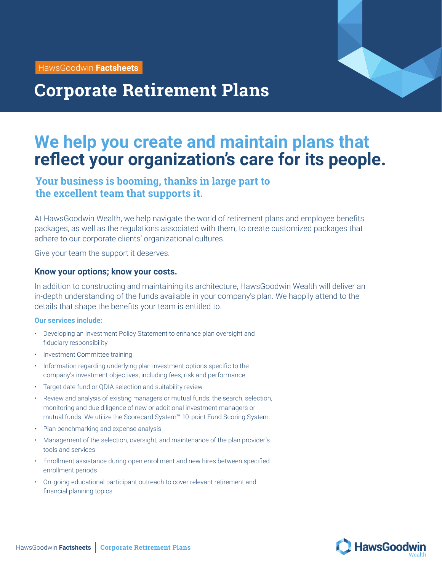HawsGoodwin **Factsheets**



# **Corporate Retirement Plans**

## **We help you create and maintain plans that reflect your organization's care for its people.**

### **Your business is booming, thanks in large part to the excellent team that supports it.**

At HawsGoodwin Wealth, we help navigate the world of retirement plans and employee benefits packages, as well as the regulations associated with them, to create customized packages that adhere to our corporate clients' organizational cultures.

Give your team the support it deserves.

#### **Know your options; know your costs.**

In addition to constructing and maintaining its architecture, HawsGoodwin Wealth will deliver an in-depth understanding of the funds available in your company's plan. We happily attend to the details that shape the benefits your team is entitled to.

#### **Our services include:**

- Developing an Investment Policy Statement to enhance plan oversight and fiduciary responsibility
- Investment Committee training
- Information regarding underlying plan investment options specific to the company's investment objectives, including fees, risk and performance
- Target date fund or QDIA selection and suitability review
- Review and analysis of existing managers or mutual funds; the search, selection, monitoring and due diligence of new or additional investment managers or mutual funds. We utilize the Scorecard System™ 10-point Fund Scoring System.
- Plan benchmarking and expense analysis
- Management of the selection, oversight, and maintenance of the plan provider's tools and services
- Enrollment assistance during open enrollment and new hires between specified enrollment periods
- On-going educational participant outreach to cover relevant retirement and financial planning topics